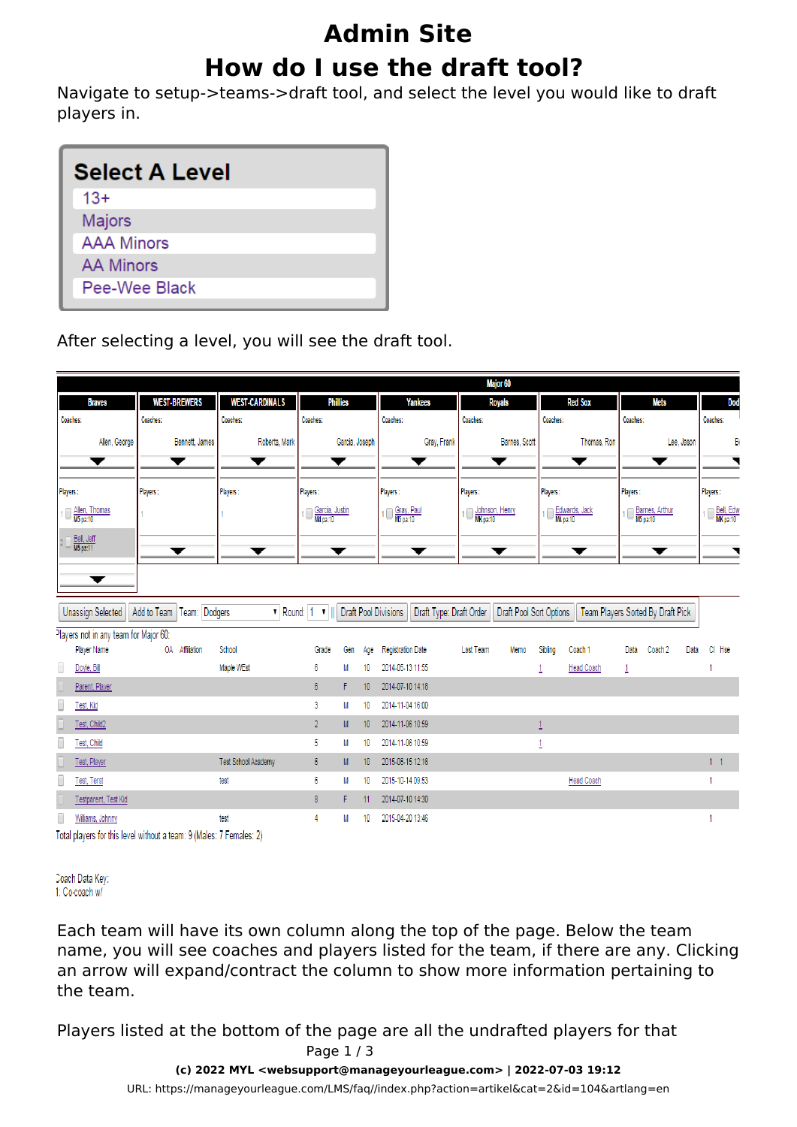## **Admin Site How do I use the draft tool?**

Navigate to setup->teams->draft tool, and select the level you would like to draft players in.

| <b>Select A Level</b> |  |  |  |  |  |
|-----------------------|--|--|--|--|--|
| $13+$                 |  |  |  |  |  |
| <b>Majors</b>         |  |  |  |  |  |
| <b>AAA Minors</b>     |  |  |  |  |  |
| <b>AA Minors</b>      |  |  |  |  |  |
| Pee-Wee Black         |  |  |  |  |  |
|                       |  |  |  |  |  |

After selecting a level, you will see the draft tool.

| <b>WEST-CARDINALS</b><br><b>WEST-BREWERS</b><br><b>Phillies</b><br><b>Yankees</b><br><b>Red Sox</b><br>Mets<br><b>Royals</b><br><b>Braves</b>                                                                           |                       |  |  |  |  |  |  |  |  |  |
|-------------------------------------------------------------------------------------------------------------------------------------------------------------------------------------------------------------------------|-----------------------|--|--|--|--|--|--|--|--|--|
|                                                                                                                                                                                                                         | <b>Dod</b>            |  |  |  |  |  |  |  |  |  |
| Coaches:<br>Coaches:<br>Coaches:<br>Coaches:<br>Coaches:<br>Coaches:<br>Coaches:<br>Coaches:                                                                                                                            | Coaches:              |  |  |  |  |  |  |  |  |  |
| Roberts, Mark<br>Gray, Frank<br>Thomas, Ron<br>Allen, George<br>Bennett, James<br>Garcia, Joseph<br>Barnes, Scott<br>Lee, Jason                                                                                         | В                     |  |  |  |  |  |  |  |  |  |
| ▼<br>▼<br>▼<br>▼<br>▼<br>▼<br>▼<br>-                                                                                                                                                                                    |                       |  |  |  |  |  |  |  |  |  |
| Players:<br>Players:<br>Players:<br>Players:<br>Players:<br>Players:<br>Players:<br>Players:                                                                                                                            | Players:              |  |  |  |  |  |  |  |  |  |
| 1 No Allen, Thomas<br>M5 pa:10<br>1 Schnson, Henry<br>Garcia, Justin<br>1 Gray, Paul<br>Edwards, Jack<br>Barnes, Arthur<br>M5 pa:10<br>ıП                                                                               | Bell, Edw<br>MK pa:10 |  |  |  |  |  |  |  |  |  |
| Bell, Jeff<br>2 <sup>1</sup><br>▼<br>▼<br>▼<br>▼<br>▼<br>▼<br>▼                                                                                                                                                         |                       |  |  |  |  |  |  |  |  |  |
| ▼                                                                                                                                                                                                                       |                       |  |  |  |  |  |  |  |  |  |
| Team: Dodgers<br><b>Draft Pool Divisions</b><br>Unassign Selected<br>Add to Team<br>$\triangledown$ Round: 1 $\triangledown$<br>Draft Type: Draft Order<br>Draft Pool Sort Options<br>Team Players Sorted By Draft Pick |                       |  |  |  |  |  |  |  |  |  |
| Players not in any team for Major 60:<br>Player Name<br>OA Affiliation<br>School<br><b>Registration Date</b><br>Last Team<br>Sibling<br>Coach 1<br>Gen<br>Data<br>Coach 2<br>Grade<br>Memo<br>Data<br>Age               | CI Hse                |  |  |  |  |  |  |  |  |  |
| 0<br>Maple WEst<br>2014-05-13 11:55<br>Doyle, Bill<br><b>Head Coach</b><br>6<br>M<br>10                                                                                                                                 |                       |  |  |  |  |  |  |  |  |  |
| 2014-07-10 14:18<br>$6\phantom{.0}$<br>Parent, Player<br>F<br>10 <sup>10</sup>                                                                                                                                          |                       |  |  |  |  |  |  |  |  |  |
| Г<br>3<br>2014-11-04 16:00<br>Test, Kid<br>M<br>10                                                                                                                                                                      |                       |  |  |  |  |  |  |  |  |  |
| $\overline{2}$<br>2014-11-06 10:59<br>Test, Child2<br>M<br>10 <sup>10</sup><br>$\overline{1}$                                                                                                                           |                       |  |  |  |  |  |  |  |  |  |
| 5<br>2014-11-06 10:59<br>Test, Child<br>M<br>10<br>1                                                                                                                                                                    |                       |  |  |  |  |  |  |  |  |  |
| Test School Academy<br>6<br>2015-08-15 12:16<br>Test, Player<br>M<br>10 <sup>°</sup>                                                                                                                                    | 1 <sub>1</sub>        |  |  |  |  |  |  |  |  |  |
| 6<br>2015-10-14 09:53<br><b>Head Coach</b><br><b>Test, Terst</b><br>test<br>M<br>10                                                                                                                                     |                       |  |  |  |  |  |  |  |  |  |
| Testparent, Test Kid<br>8<br>2014-07-10 14:30<br>F<br>11                                                                                                                                                                |                       |  |  |  |  |  |  |  |  |  |
| test<br>4<br>2015-04-20 13:46<br>Williams, Johnny<br>M<br>10                                                                                                                                                            |                       |  |  |  |  |  |  |  |  |  |
| Total players for this level without a team: 9 (Males: 7 Females: 2)                                                                                                                                                    |                       |  |  |  |  |  |  |  |  |  |

Doach Data Key: 1: Co-coach w/

Each team will have its own column along the top of the page. Below the team name, you will see coaches and players listed for the team, if there are any. Clicking an arrow will expand/contract the column to show more information pertaining to the team.

Players listed at the bottom of the page are all the undrafted players for that Page 1 / 3

**(c) 2022 MYL <websupport@manageyourleague.com> | 2022-07-03 19:12**

[URL: https://manageyourleague.com/LMS/faq//index.php?action=artikel&cat=2&id=104&artlang=en](https://manageyourleague.com/LMS/faq//index.php?action=artikel&cat=2&id=104&artlang=en)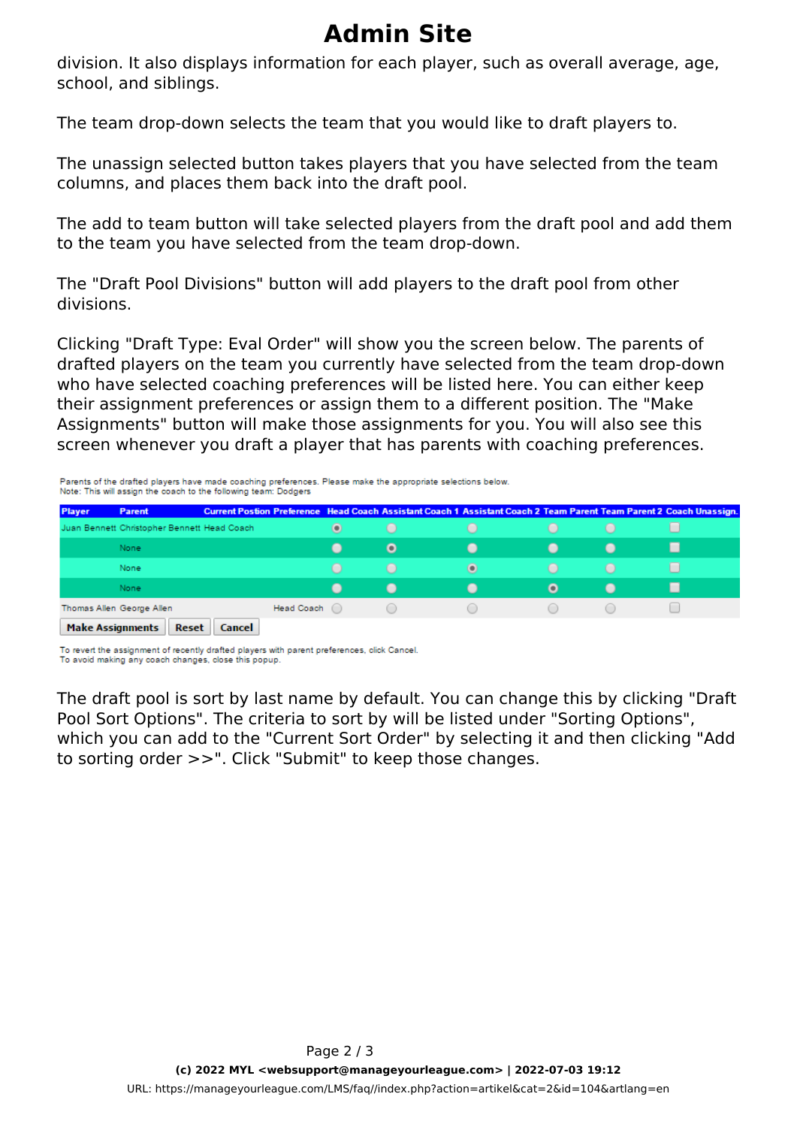## **Admin Site**

division. It also displays information for each player, such as overall average, age, school, and siblings.

The team drop-down selects the team that you would like to draft players to.

The unassign selected button takes players that you have selected from the team columns, and places them back into the draft pool.

The add to team button will take selected players from the draft pool and add them to the team you have selected from the team drop-down.

The "Draft Pool Divisions" button will add players to the draft pool from other divisions.

Clicking "Draft Type: Eval Order" will show you the screen below. The parents of drafted players on the team you currently have selected from the team drop-down who have selected coaching preferences will be listed here. You can either keep their assignment preferences or assign them to a different position. The "Make Assignments" button will make those assignments for you. You will also see this screen whenever you draft a player that has parents with coaching preferences.

Parents of the drafted players have made coaching preferences. Please make the appropriate selections below. Note: This will assign the coach to the following team: Dodgers

| <b>Player</b> | <b>Parent</b>                               | Current Postion Preference Head Coach Assistant Coach 1 Assistant Coach 2 Team Parent Team Parent 2 Coach Unassign. |                 |                                               |                |           |                |   |
|---------------|---------------------------------------------|---------------------------------------------------------------------------------------------------------------------|-----------------|-----------------------------------------------|----------------|-----------|----------------|---|
|               | Juan Bennett Christopher Bennett Head Coach |                                                                                                                     | $\odot$         | $\Box$                                        |                |           |                |   |
|               | None                                        |                                                                                                                     |                 | $\bullet$                                     |                |           |                |   |
|               | None                                        |                                                                                                                     | $\Box$          | $\bigcirc$                                    | $\bigcirc$     | $\cup$    | $\Box$         |   |
|               | None                                        |                                                                                                                     | $\qquad \qquad$ | $\blacksquare$                                | $\blacksquare$ | $\bullet$ | $\blacksquare$ | ш |
|               | Thomas Allen George Allen                   | Head Coach (                                                                                                        |                 | $\left( \begin{array}{c} \end{array} \right)$ |                |           |                |   |
|               | Make Accianments   Decet   Cancel           |                                                                                                                     |                 |                                               |                |           |                |   |

ke Assignments || Reset || Canc

To revert the assignment of recently drafted players with parent preferences, click Cancel.

To avoid making any coach changes, close this popup.

The draft pool is sort by last name by default. You can change this by clicking "Draft Pool Sort Options". The criteria to sort by will be listed under "Sorting Options", which you can add to the "Current Sort Order" by selecting it and then clicking "Add to sorting order >>". Click "Submit" to keep those changes.